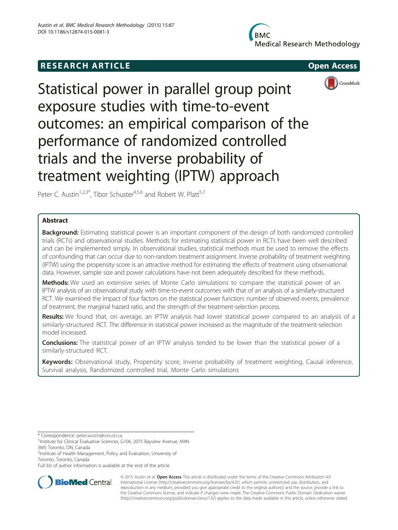# **RESEARCH ARTICLE Example 2014 The SEAR CH ACCESS**



Statistical power in parallel group point exposure studies with time-to-event outcomes: an empirical comparison of the performance of randomized controlled trials and the inverse probability of treatment weighting (IPTW) approach

Peter C. Austin<sup>1,2,3\*</sup>, Tibor Schuster<sup>4,5,6</sup> and Robert W. Platt<sup>5,7</sup>

# Abstract

**Background:** Estimating statistical power is an important component of the design of both randomized controlled trials (RCTs) and observational studies. Methods for estimating statistical power in RCTs have been well described and can be implemented simply. In observational studies, statistical methods must be used to remove the effects of confounding that can occur due to non-random treatment assignment. Inverse probability of treatment weighting (IPTW) using the propensity score is an attractive method for estimating the effects of treatment using observational data. However, sample size and power calculations have not been adequately described for these methods.

Methods: We used an extensive series of Monte Carlo simulations to compare the statistical power of an IPTW analysis of an observational study with time-to-event outcomes with that of an analysis of a similarly-structured RCT. We examined the impact of four factors on the statistical power function: number of observed events, prevalence of treatment, the marginal hazard ratio, and the strength of the treatment-selection process.

Results: We found that, on average, an IPTW analysis had lower statistical power compared to an analysis of a similarly-structured RCT. The difference in statistical power increased as the magnitude of the treatment-selection model increased.

**Conclusions:** The statistical power of an IPTW analysis tended to be lower than the statistical power of a similarly-structured RCT.

Keywords: Observational study, Propensity score, Inverse probability of treatment weighting, Causal inference, Survival analysis, Randomized controlled trial, Monte Carlo simulations

Full list of author information is available at the end of the article



© 2015 Austin et al. Open Access This article is distributed under the terms of the Creative Commons Attribution 4.0 International License [\(http://creativecommons.org/licenses/by/4.0/](http://creativecommons.org/licenses/by/4.0/)), which permits unrestricted use, distribution, and reproduction in any medium, provided you give appropriate credit to the original author(s) and the source, provide a link to the Creative Commons license, and indicate if changes were made. The Creative Commons Public Domain Dedication waiver [\(http://creativecommons.org/publicdomain/zero/1.0/](http://creativecommons.org/publicdomain/zero/1.0/)) applies to the data made available in this article, unless otherwise stated.

<sup>\*</sup> Correspondence: [peter.austin@ices.on.ca](mailto:peter.austin@ices.on.ca) <sup>1</sup>

<sup>&</sup>lt;sup>1</sup>Institute for Clinical Evaluative Sciences, G106, 2075 Bayview Avenue, M4N 3M5 Toronto, ON, Canada

<sup>&</sup>lt;sup>2</sup>Institute of Health Management, Policy and Evaluation, University of Toronto, Toronto, Canada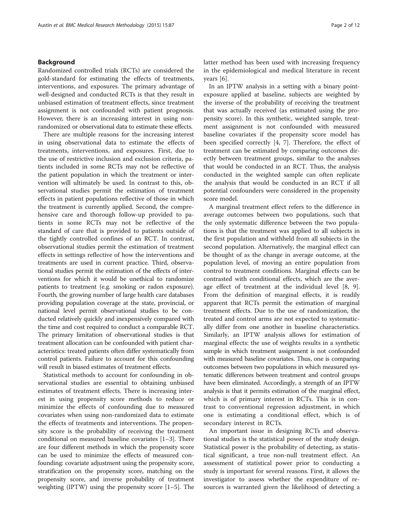## Background

Randomized controlled trials (RCTs) are considered the gold-standard for estimating the effects of treatments, interventions, and exposures. The primary advantage of well-designed and conducted RCTs is that they result in unbiased estimation of treatment effects, since treatment assignment is not confounded with patient prognosis. However, there is an increasing interest in using nonrandomized or observational data to estimate these effects.

There are multiple reasons for the increasing interest in using observational data to estimate the effects of treatments, interventions, and exposures. First, due to the use of restrictive inclusion and exclusion criteria, patients included in some RCTs may not be reflective of the patient population in which the treatment or intervention will ultimately be used. In contrast to this, observational studies permit the estimation of treatment effects in patient populations reflective of those in which the treatment is currently applied. Second, the comprehensive care and thorough follow-up provided to patients in some RCTs may not be reflective of the standard of care that is provided to patients outside of the tightly controlled confines of an RCT. In contrast, observational studies permit the estimation of treatment effects in settings reflective of how the interventions and treatments are used in current practice. Third, observational studies permit the estimation of the effects of interventions for which it would be unethical to randomize patients to treatment (e.g. smoking or radon exposure). Fourth, the growing number of large health care databases providing population coverage at the state, provincial, or national level permit observational studies to be conducted relatively quickly and inexpensively compared with the time and cost required to conduct a comparable RCT. The primary limitation of observational studies is that treatment allocation can be confounded with patient characteristics: treated patients often differ systematically from control patients. Failure to account for this confounding will result in biased estimates of treatment effects.

Statistical methods to account for confounding in observational studies are essential to obtaining unbiased estimates of treatment effects. There is increasing interest in using propensity score methods to reduce or minimize the effects of confounding due to measured covariates when using non-randomized data to estimate the effects of treatments and interventions. The propensity score is the probability of receiving the treatment conditional on measured baseline covariates [[1](#page-11-0)–[3](#page-11-0)]. There are four different methods in which the propensity score can be used to minimize the effects of measured confounding: covariate adjustment using the propensity score, stratification on the propensity score, matching on the propensity score, and inverse probability of treatment weighting (IPTW) using the propensity score [\[1](#page-11-0)–[5\]](#page-11-0). The latter method has been used with increasing frequency in the epidemiological and medical literature in recent years [[6](#page-11-0)].

In an IPTW analysis in a setting with a binary pointexposure applied at baseline, subjects are weighted by the inverse of the probability of receiving the treatment that was actually received (as estimated using the propensity score). In this synthetic, weighted sample, treatment assignment is not confounded with measured baseline covariates if the propensity score model has been specified correctly [[4](#page-11-0), [7](#page-11-0)]. Therefore, the effect of treatment can be estimated by comparing outcomes directly between treatment groups, similar to the analyses that would be conducted in an RCT. Thus, the analysis conducted in the weighted sample can often replicate the analysis that would be conducted in an RCT if all potential confounders were considered in the propensity score model.

A marginal treatment effect refers to the difference in average outcomes between two populations, such that the only systematic difference between the two populations is that the treatment was applied to all subjects in the first population and withheld from all subjects in the second population. Alternatively, the marginal effect can be thought of as the change in average outcome, at the population level, of moving an entire population from control to treatment conditions. Marginal effects can be contrasted with conditional effects, which are the average effect of treatment at the individual level [[8, 9](#page-11-0)]. From the definition of marginal effects, it is readily apparent that RCTs permit the estimation of marginal treatment effects. Due to the use of randomization, the treated and control arms are not expected to systematically differ from one another in baseline characteristics. Similarly, an IPTW analysis allows for estimation of marginal effects: the use of weights results in a synthetic sample in which treatment assignment is not confounded with measured baseline covariates. Thus, one is comparing outcomes between two populations in which measured systematic differences between treatment and control groups have been eliminated. Accordingly, a strength of an IPTW analysis is that it permits estimation of the marginal effect, which is of primary interest in RCTs. This is in contrast to conventional regression adjustment, in which one is estimating a conditional effect, which is of secondary interest in RCTs.

An important issue in designing RCTs and observational studies is the statistical power of the study design. Statistical power is the probability of detecting, as statistical significant, a true non-null treatment effect. An assessment of statistical power prior to conducting a study is important for several reasons. First, it allows the investigator to assess whether the expenditure of resources is warranted given the likelihood of detecting a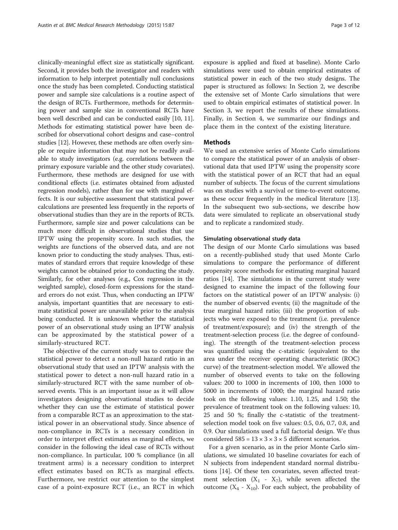clinically-meaningful effect size as statistically significant. Second, it provides both the investigator and readers with information to help interpret potentially null conclusions once the study has been completed. Conducting statistical power and sample size calculations is a routine aspect of the design of RCTs. Furthermore, methods for determining power and sample size in conventional RCTs have been well described and can be conducted easily [[10](#page-11-0), [11](#page-11-0)]. Methods for estimating statistical power have been described for observational cohort designs and case–control studies [\[12\]](#page-11-0). However, these methods are often overly simple or require information that may not be readily available to study investigators (e.g. correlations between the primary exposure variable and the other study covariates). Furthermore, these methods are designed for use with conditional effects (i.e. estimates obtained from adjusted regression models), rather than for use with marginal effects. It is our subjective assessment that statistical power calculations are presented less frequently in the reports of observational studies than they are in the reports of RCTs. Furthermore, sample size and power calculations can be much more difficult in observational studies that use IPTW using the propensity score. In such studies, the weights are functions of the observed data, and are not known prior to conducting the study analyses. Thus, estimates of standard errors that require knowledge of these weights cannot be obtained prior to conducting the study. Similarly, for other analyses (e.g., Cox regression in the weighted sample), closed-form expressions for the standard errors do not exist. Thus, when conducting an IPTW analysis, important quantities that are necessary to estimate statistical power are unavailable prior to the analysis being conducted. It is unknown whether the statistical power of an observational study using an IPTW analysis can be approximated by the statistical power of a similarly-structured RCT.

The objective of the current study was to compare the statistical power to detect a non-null hazard ratio in an observational study that used an IPTW analysis with the statistical power to detect a non-null hazard ratio in a similarly-structured RCT with the same number of observed events. This is an important issue as it will allow investigators designing observational studies to decide whether they can use the estimate of statistical power from a comparable RCT as an approximation to the statistical power in an observational study. Since absence of non-compliance in RCTs is a necessary condition in order to interpret effect estimates as marginal effects, we consider in the following the ideal case of RCTs without non-compliance. In particular, 100 % compliance (in all treatment arms) is a necessary condition to interpret effect estimates based on RCTs as marginal effects. Furthermore, we restrict our attention to the simplest case of a point-exposure RCT (i.e., an RCT in which exposure is applied and fixed at baseline). Monte Carlo simulations were used to obtain empirical estimates of statistical power in each of the two study designs. The paper is structured as follows: In Section 2, we describe the extensive set of Monte Carlo simulations that were used to obtain empirical estimates of statistical power. In Section 3, we report the results of these simulations. Finally, in Section 4, we summarize our findings and place them in the context of the existing literature.

# **Methods**

We used an extensive series of Monte Carlo simulations to compare the statistical power of an analysis of observational data that used IPTW using the propensity score with the statistical power of an RCT that had an equal number of subjects. The focus of the current simulations was on studies with a survival or time-to-event outcome, as these occur frequently in the medical literature [\[13](#page-11-0)]. In the subsequent two sub-sections, we describe how data were simulated to replicate an observational study and to replicate a randomized study.

### Simulating observational study data

The design of our Monte Carlo simulations was based on a recently-published study that used Monte Carlo simulations to compare the performance of different propensity score methods for estimating marginal hazard ratios [\[14](#page-11-0)]. The simulations in the current study were designed to examine the impact of the following four factors on the statistical power of an IPTW analysis: (i) the number of observed events; (ii) the magnitude of the true marginal hazard ratio; (iii) the proportion of subjects who were exposed to the treatment (i.e. prevalence of treatment/exposure); and (iv) the strength of the treatment-selection process (i.e. the degree of confounding). The strength of the treatment-selection process was quantified using the c-statistic (equivalent to the area under the receiver operating characteristic (ROC) curve) of the treatment-selection model. We allowed the number of observed events to take on the following values: 200 to 1000 in increments of 100, then 1000 to 5000 in increments of 1000; the marginal hazard ratio took on the following values: 1.10, 1.25, and 1.50; the prevalence of treatment took on the following values: 10, 25 and 50 %; finally the c-statistic of the treatmentselection model took on five values: 0.5, 0.6, 0.7, 0.8, and 0.9. Our simulations used a full factorial design. We thus considered  $585 = 13 \times 3 \times 3 \times 5$  different scenarios.

For a given scenario, as in the prior Monte Carlo simulations, we simulated 10 baseline covariates for each of N subjects from independent standard normal distributions [[14\]](#page-11-0). Of these ten covariates, seven affected treatment selection  $(X_1 - X_7)$ , while seven affected the outcome  $(X_4 - X_{10})$ . For each subject, the probability of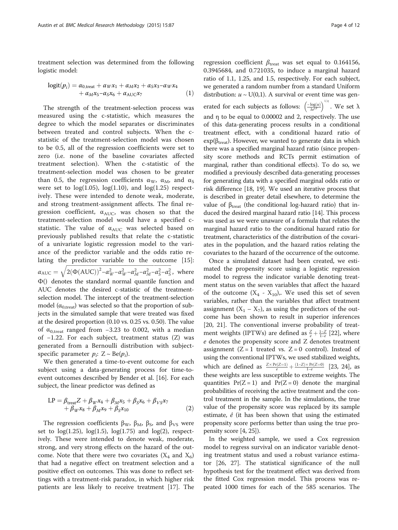treatment selection was determined from the following logistic model:

$$
logit(p_i) = \alpha_{0,\text{treat}} + \alpha_W x_1 + \alpha_M x_2 + \alpha_S x_3 - \alpha_W x_4 + \alpha_M x_5 - \alpha_S x_6 + \alpha_{AUC} x_7
$$
 (1)

The strength of the treatment-selection process was measured using the c-statistic, which measures the degree to which the model separates or discriminates between treated and control subjects. When the cstatistic of the treatment-selection model was chosen to be 0.5, all of the regression coefficients were set to zero (i.e. none of the baseline covariates affected treatment selection). When the c-statistic of the treatment-selection model was chosen to be greater than 0.5, the regression coefficients  $\alpha_{\text{W}}$ ,  $\alpha_{\text{M}}$ , and  $\alpha_{\text{S}}$ were set to  $log(1.05)$ ,  $log(1.10)$ , and  $log(1.25)$  respectively. These were intended to denote weak, moderate, and strong treatment-assignment affects. The final regression coefficient,  $\alpha_{AUC}$ , was chosen so that the treatment-selection model would have a specified cstatistic. The value of  $\alpha_{AUC}$  was selected based on previously published results that relate the c-statistic of a univariate logistic regression model to the variance of the predictor variable and the odds ratio relating the predictor variable to the outcome [\[15](#page-11-0)]:  $\alpha_{\rm AUC} = \sqrt{2(\Phi(\rm AUC))^2 - \alpha_W^2 - \alpha_W^2 - \alpha_M^2 - \alpha_A^2 - \alpha_S^2 - \alpha_S^2}$ , where Φ() denotes the standard normal quantile function and AUC denotes the desired c-statistic of the treatmentselection model. The intercept of the treatment-selection model  $(\alpha_{0,\text{treat}})$  was selected so that the proportion of subjects in the simulated sample that were treated was fixed at the desired proportion (0.10 vs. 0.25 vs. 0.50). The value of  $\alpha_{0,\text{treat}}$  ranged from -3.23 to 0.002, with a median of −1.22. For each subject, treatment status (Z) was generated from a Bernoulli distribution with subjectspecific parameter  $p_i$ :  $Z \sim Be(p_i)$ .

We then generated a time-to-event outcome for each subject using a data-generating process for time-toevent outcomes described by Bender et al. [[16\]](#page-11-0). For each subject, the linear predictor was defined as

$$
LP = \beta_{\text{treat}} Z + \beta_W x_4 + \beta_M x_5 + \beta_S x_6 + \beta_{VS} x_7 + \beta_W x_8 + \beta_M x_9 + \beta_S x_{10}
$$
 (2)

The regression coefficients  $\beta_{\rm W}$ ,  $\beta_{\rm M}$ ,  $\beta_{\rm S}$ , and  $\beta_{\rm VS}$  were set to  $log(1.25)$ ,  $log(1.5)$ ,  $log(1.75)$  and  $log(2)$ , respectively. These were intended to denote weak, moderate, strong, and very strong effects on the hazard of the outcome. Note that there were two covariates  $(X_4$  and  $X_6)$ that had a negative effect on treatment selection and a positive effect on outcomes. This was done to reflect settings with a treatment-risk paradox, in which higher risk patients are less likely to receive treatment [[17\]](#page-11-0). The

regression coefficient  $\beta_{\text{treat}}$  was set equal to 0.164156, 0.3945684, and 0.721035, to induce a marginal hazard ratio of 1.1, 1.25, and 1.5, respectively. For each subject, we generated a random number from a standard Uniform distribution:  $u \sim U(0,1)$ . A survival or event time was generated for each subjects as follows:  $\left(\frac{-\log(u)}{\lambda e^{\mu P}}\right)^{1/\eta}$ . We set  $\lambda$ and η to be equal to 0.00002 and 2, respectively. The use of this data-generating process results in a conditional

treatment effect, with a conditional hazard ratio of  $exp(\beta_{\text{treat}})$ . However, we wanted to generate data in which there was a specified marginal hazard ratio (since propensity score methods and RCTs permit estimation of marginal, rather than conditional effects). To do so, we modified a previously described data-generating processes for generating data with a specified marginal odds ratio or risk difference [[18](#page-11-0), [19](#page-11-0)]. We used an iterative process that is described in greater detail elsewhere, to determine the value of  $β_{\text{treat}}$  (the conditional log-hazard ratio) that induced the desired marginal hazard ratio [[14](#page-11-0)]. This process was used as we were unaware of a formula that relates the marginal hazard ratio to the conditional hazard ratio for treatment, characteristics of the distribution of the covariates in the population, and the hazard ratios relating the covariates to the hazard of the occurrence of the outcome.

Once a simulated dataset had been created, we estimated the propensity score using a logistic regression model to regress the indicator variable denoting treatment status on the seven variables that affect the hazard of the outcome  $(X_4 - X_{10})$ . We used this set of seven variables, rather than the variables that affect treatment assignment  $(X_1 - X_7)$ , as using the predictors of the outcome has been shown to result in superior inferences [[20, 21](#page-11-0)]. The conventional inverse probability of treatment weights (IPTWs) are defined as  $\frac{Z}{e} + \frac{1-Z}{1-e}$  [\[22](#page-11-0)], where e denotes the propensity score and Z denotes treatment assignment  $(Z = 1$  treated vs.  $Z = 0$  control). Instead of using the conventional IPTWs, we used stabilized weights, which are defined as  $\frac{Z \times Pr(Z=1)}{e} + \frac{(1-Z) \times Pr(Z=0)}{1-e}$  [[23, 24\]](#page-11-0), as these weights are less susceptible to extreme weights. The quantities  $Pr(Z = 1)$  and  $Pr(Z = 0)$  denote the marginal probabilities of receiving the active treatment and the control treatment in the sample. In the simulations, the true value of the propensity score was replaced by its sample estimate,  $\hat{e}$  (it has been shown that using the estimated propensity score performs better than using the true propensity score [\[4](#page-11-0), [25](#page-11-0)]).

In the weighted sample, we used a Cox regression model to regress survival on an indicator variable denoting treatment status and used a robust variance estimator [[26](#page-11-0), [27\]](#page-11-0). The statistical significance of the null hypothesis test for the treatment effect was derived from the fitted Cox regression model. This process was repeated 1000 times for each of the 585 scenarios. The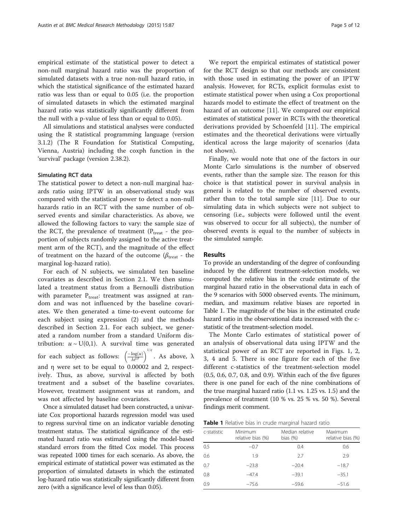<span id="page-4-0"></span>empirical estimate of the statistical power to detect a non-null marginal hazard ratio was the proportion of simulated datasets with a true non-null hazard ratio, in which the statistical significance of the estimated hazard ratio was less than or equal to 0.05 (i.e. the proportion of simulated datasets in which the estimated marginal hazard ratio was statistically significantly different from the null with a p-value of less than or equal to 0.05).

All simulations and statistical analyses were conducted using the R statistical programming language (version 3.1.2) (The R Foundation for Statistical Computing, Vienna, Austria) including the coxph function in the 'survival' package (version 2.38.2).

#### Simulating RCT data

The statistical power to detect a non-null marginal hazards ratio using IPTW in an observational study was compared with the statistical power to detect a non-null hazards ratio in an RCT with the same number of observed events and similar characteristics. As above, we allowed the following factors to vary: the sample size of the RCT, the prevalence of treatment ( $P_{\text{treat}}$  - the proportion of subjects randomly assigned to the active treatment arm of the RCT), and the magnitude of the effect of treatment on the hazard of the outcome ( $\beta_{\text{treat}}$  - the marginal log-hazard ratio).

For each of N subjects, we simulated ten baseline covariates as described in Section 2.1. We then simulated a treatment status from a Bernoulli distribution with parameter  $P_{\text{treat}}$ : treatment was assigned at random and was not influenced by the baseline covariates. We then generated a time-to-event outcome for each subject using expression (2) and the methods described in Section 2.1. For each subject, we generated a random number from a standard Uniform distribution:  $u \sim U(0,1)$ . A survival time was generated for each subject as follows:  $\left(\frac{-\log(u)}{\lambda e^{\text{LP}}}\right)^{1/\eta}$ . As above,  $\lambda$ and η were set to be equal to 0.00002 and 2, respectively. Thus, as above, survival is affected by both treatment and a subset of the baseline covariates. However, treatment assignment was at random, and

Once a simulated dataset had been constructed, a univariate Cox proportional hazards regression model was used to regress survival time on an indicator variable denoting treatment status. The statistical significance of the estimated hazard ratio was estimated using the model-based standard errors from the fitted Cox model. This process was repeated 1000 times for each scenario. As above, the empirical estimate of statistical power was estimated as the proportion of simulated datasets in which the estimated log-hazard ratio was statistically significantly different from zero (with a significance level of less than 0.05).

was not affected by baseline covariates.

We report the empirical estimates of statistical power for the RCT design so that our methods are consistent with those used in estimating the power of an IPTW analysis. However, for RCTs, explicit formulas exist to estimate statistical power when using a Cox proportional hazards model to estimate the effect of treatment on the hazard of an outcome [[11](#page-11-0)]. We compared our empirical estimates of statistical power in RCTs with the theoretical derivations provided by Schoenfeld [[11\]](#page-11-0). The empirical estimates and the theoretical derivations were virtually identical across the large majority of scenarios (data not shown).

Finally, we would note that one of the factors in our Monte Carlo simulations is the number of observed events, rather than the sample size. The reason for this choice is that statistical power in survival analysis in general is related to the number of observed events, rather than to the total sample size [\[11\]](#page-11-0). Due to our simulating data in which subjects were not subject to censoring (i.e., subjects were followed until the event was observed to occur for all subjects), the number of observed events is equal to the number of subjects in the simulated sample.

## Results

To provide an understanding of the degree of confounding induced by the different treatment-selection models, we computed the relative bias in the crude estimate of the marginal hazard ratio in the observational data in each of the 9 scenarios with 5000 observed events. The minimum, median, and maximum relative biases are reported in Table 1. The magnitude of the bias in the estimated crude hazard ratio in the observational data increased with the cstatistic of the treatment-selection model.

The Monte Carlo estimates of statistical power of an analysis of observational data using IPTW and the statistical power of an RCT are reported in Figs. [1,](#page-5-0) [2](#page-6-0), [3,](#page-7-0) [4](#page-8-0) and [5.](#page-9-0) There is one figure for each of the five different c-statistics of the treatment-selection model (0.5, 0.6, 0.7, 0.8, and 0.9). Within each of the five figures there is one panel for each of the nine combinations of the true marginal hazard ratio (1.1 vs. 1.25 vs. 1.5) and the prevalence of treatment (10 % vs. 25 % vs. 50 %). Several findings merit comment.

|  |  |  |  |  | Table 1 Relative bias in crude marginal hazard ratio |  |
|--|--|--|--|--|------------------------------------------------------|--|
|--|--|--|--|--|------------------------------------------------------|--|

| c-statistic | Minimum<br>relative bias (%) | Median relative<br>bias $(\%)$ | Maximum<br>relative bias (%) |
|-------------|------------------------------|--------------------------------|------------------------------|
| 0.5         | $-0.7$                       | 0.4                            | 0.6                          |
| 0.6         | 19                           | 27                             | 2.9                          |
| 07          | $-23.8$                      | $-20.4$                        | $-18.7$                      |
| 0.8         | $-47.4$                      | $-39.1$                        | $-35.1$                      |
| 0.9         | $-75.6$                      | $-59.6$                        | $-51.6$                      |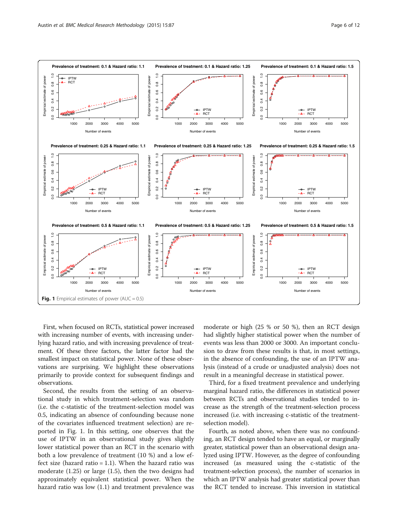<span id="page-5-0"></span>

First, when focused on RCTs, statistical power increased with increasing number of events, with increasing underlying hazard ratio, and with increasing prevalence of treatment. Of these three factors, the latter factor had the smallest impact on statistical power. None of these observations are surprising. We highlight these observations primarily to provide context for subsequent findings and observations.

Second, the results from the setting of an observational study in which treatment-selection was random (i.e. the c-statistic of the treatment-selection model was 0.5, indicating an absence of confounding because none of the covariates influenced treatment selection) are reported in Fig. 1. In this setting, one observes that the use of IPTW in an observational study gives slightly lower statistical power than an RCT in the scenario with both a low prevalence of treatment (10 %) and a low effect size (hazard ratio  $= 1.1$ ). When the hazard ratio was moderate (1.25) or large (1.5), then the two designs had approximately equivalent statistical power. When the hazard ratio was low (1.1) and treatment prevalence was

moderate or high (25 % or 50 %), then an RCT design had slightly higher statistical power when the number of events was less than 2000 or 3000. An important conclusion to draw from these results is that, in most settings, in the absence of confounding, the use of an IPTW analysis (instead of a crude or unadjusted analysis) does not result in a meaningful decrease in statistical power.

Third, for a fixed treatment prevalence and underlying marginal hazard ratio, the differences in statistical power between RCTs and observational studies tended to increase as the strength of the treatment-selection process increased (i.e. with increasing c-statistic of the treatmentselection model).

Fourth, as noted above, when there was no confounding, an RCT design tended to have an equal, or marginally greater, statistical power than an observational design analyzed using IPTW. However, as the degree of confounding increased (as measured using the c-statistic of the treatment-selection process), the number of scenarios in which an IPTW analysis had greater statistical power than the RCT tended to increase. This inversion in statistical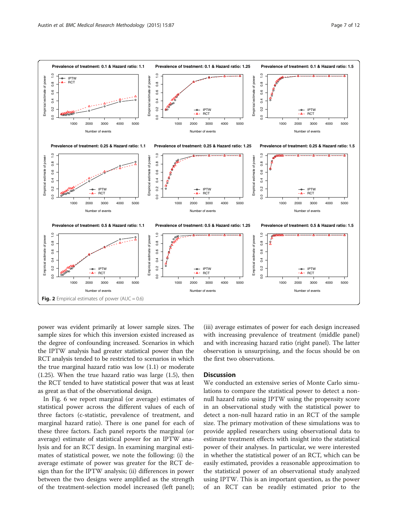<span id="page-6-0"></span>

power was evident primarily at lower sample sizes. The sample sizes for which this inversion existed increased as the degree of confounding increased. Scenarios in which the IPTW analysis had greater statistical power than the RCT analysis tended to be restricted to scenarios in which the true marginal hazard ratio was low (1.1) or moderate (1.25). When the true hazard ratio was large (1.5), then the RCT tended to have statistical power that was at least as great as that of the observational design.

In Fig. [6](#page-10-0) we report marginal (or average) estimates of statistical power across the different values of each of three factors (c-statistic, prevalence of treatment, and marginal hazard ratio). There is one panel for each of these three factors. Each panel reports the marginal (or average) estimate of statistical power for an IPTW analysis and for an RCT design. In examining marginal estimates of statistical power, we note the following: (i) the average estimate of power was greater for the RCT design than for the IPTW analysis; (ii) differences in power between the two designs were amplified as the strength of the treatment-selection model increased (left panel);

(iii) average estimates of power for each design increased with increasing prevalence of treatment (middle panel) and with increasing hazard ratio (right panel). The latter observation is unsurprising, and the focus should be on the first two observations.

# **Discussion**

We conducted an extensive series of Monte Carlo simulations to compare the statistical power to detect a nonnull hazard ratio using IPTW using the propensity score in an observational study with the statistical power to detect a non-null hazard ratio in an RCT of the sample size. The primary motivation of these simulations was to provide applied researchers using observational data to estimate treatment effects with insight into the statistical power of their analyses. In particular, we were interested in whether the statistical power of an RCT, which can be easily estimated, provides a reasonable approximation to the statistical power of an observational study analyzed using IPTW. This is an important question, as the power of an RCT can be readily estimated prior to the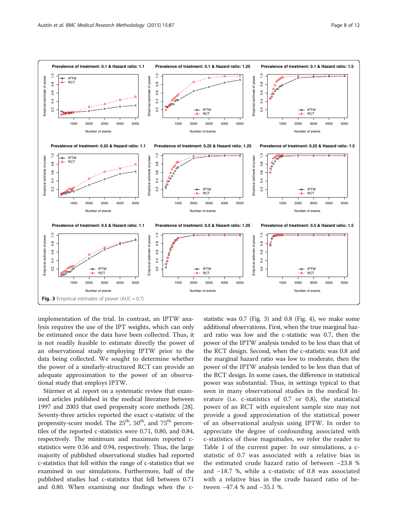<span id="page-7-0"></span>

implementation of the trial. In contrast, an IPTW analysis requires the use of the IPT weights, which can only be estimated once the data have been collected. Thus, it is not readily feasible to estimate directly the power of an observational study employing IPTW prior to the data being collected. We sought to determine whether the power of a similarly-structured RCT can provide an adequate approximation to the power of an observational study that employs IPTW.

Stürmer et al. report on a systematic review that examined articles published in the medical literature between 1997 and 2003 that used propensity score methods [[28](#page-11-0)]. Seventy-three articles reported the exact c-statistic of the propensity-score model. The  $25<sup>th</sup>$ ,  $50<sup>th</sup>$ , and  $75<sup>th</sup>$  percentiles of the reported c-statistics were 0.71, 0.80, and 0.84, respectively. The minimum and maximum reported cstatistics were 0.56 and 0.94, respectively. Thus, the large majority of published observational studies had reported c-statistics that fell within the range of c-statistics that we examined in our simulations. Furthermore, half of the published studies had c-statistics that fell between 0.71 and 0.80. When examining our findings when the cstatistic was 0.7 (Fig. 3) and 0.8 (Fig. [4](#page-8-0)), we make some additional observations. First, when the true marginal hazard ratio was low and the c-statistic was 0.7, then the power of the IPTW analysis tended to be less than that of the RCT design. Second, when the c-statistic was 0.8 and the marginal hazard ratio was low to moderate, then the power of the IPTW analysis tended to be less than that of the RCT design. In some cases, the difference in statistical power was substantial. Thus, in settings typical to that seen in many observational studies in the medical literature (i.e. c-statistics of 0.7 or 0.8), the statistical power of an RCT with equivalent sample size may not provide a good approximation of the statistical power of an observational analysis using IPTW. In order to appreciate the degree of confounding associated with c-statistics of these magnitudes, we refer the reader to Table [1](#page-4-0) of the current paper. In our simulations, a cstatistic of 0.7 was associated with a relative bias in the estimated crude hazard ratio of between −23.8 % and −18.7 %, while a c-statistic of 0.8 was associated with a relative bias in the crude hazard ratio of between −47.4 % and −35.1 %.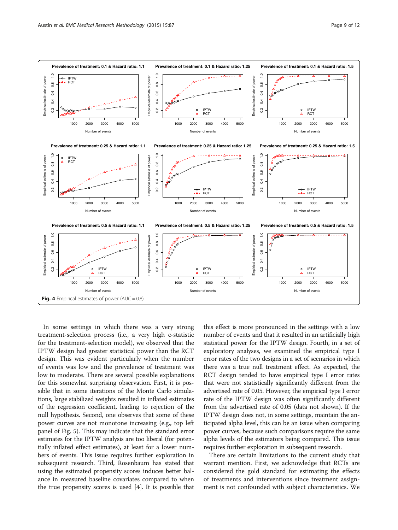<span id="page-8-0"></span>

In some settings in which there was a very strong treatment-selection process (i.e., a very high c-statistic for the treatment-selection model), we observed that the IPTW design had greater statistical power than the RCT design. This was evident particularly when the number of events was low and the prevalence of treatment was low to moderate. There are several possible explanations for this somewhat surprising observation. First, it is possible that in some iterations of the Monte Carlo simulations, large stabilized weights resulted in inflated estimates of the regression coefficient, leading to rejection of the null hypothesis. Second, one observes that some of these power curves are not monotone increasing (e.g., top left panel of Fig. [5](#page-9-0)). This may indicate that the standard error estimates for the IPTW analysis are too liberal (for potentially inflated effect estimates), at least for a lower numbers of events. This issue requires further exploration in subsequent research. Third, Rosenbaum has stated that using the estimated propensity scores induces better balance in measured baseline covariates compared to when the true propensity scores is used [\[4](#page-11-0)]. It is possible that

this effect is more pronounced in the settings with a low number of events and that it resulted in an artificially high statistical power for the IPTW design. Fourth, in a set of exploratory analyses, we examined the empirical type I error rates of the two designs in a set of scenarios in which there was a true null treatment effect. As expected, the RCT design tended to have empirical type I error rates that were not statistically significantly different from the advertised rate of 0.05. However, the empirical type I error rate of the IPTW design was often significantly different from the advertised rate of 0.05 (data not shown). If the IPTW design does not, in some settings, maintain the anticipated alpha level, this can be an issue when comparing power curves, because such comparisons require the same alpha levels of the estimators being compared. This issue requires further exploration in subsequent research.

There are certain limitations to the current study that warrant mention. First, we acknowledge that RCTs are considered the gold standard for estimating the effects of treatments and interventions since treatment assignment is not confounded with subject characteristics. We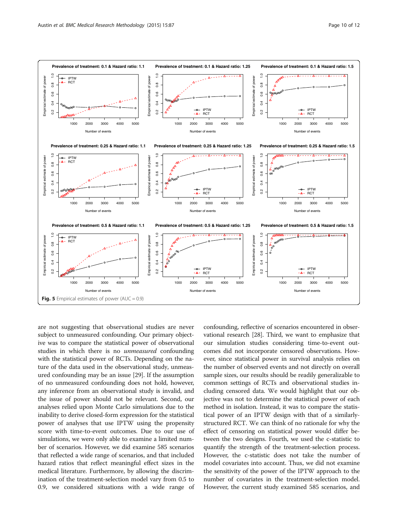<span id="page-9-0"></span>

are not suggesting that observational studies are never subject to unmeasured confounding. Our primary objective was to compare the statistical power of observational studies in which there is no *unmeasured* confounding with the statistical power of RCTs. Depending on the nature of the data used in the observational study, unmeasured confounding may be an issue [[29](#page-11-0)]. If the assumption of no unmeasured confounding does not hold, however, any inference from an observational study is invalid, and the issue of power should not be relevant. Second, our analyses relied upon Monte Carlo simulations due to the inability to derive closed-form expression for the statistical power of analyses that use IPTW using the propensity score with time-to-event outcomes. Due to our use of simulations, we were only able to examine a limited number of scenarios. However, we did examine 585 scenarios that reflected a wide range of scenarios, and that included hazard ratios that reflect meaningful effect sizes in the medical literature. Furthermore, by allowing the discrimination of the treatment-selection model vary from 0.5 to 0.9, we considered situations with a wide range of

confounding, reflective of scenarios encountered in observational research [\[28\]](#page-11-0). Third, we want to emphasize that our simulation studies considering time-to-event outcomes did not incorporate censored observations. However, since statistical power in survival analysis relies on the number of observed events and not directly on overall sample sizes, our results should be readily generalizable to common settings of RCTs and observational studies including censored data. We would highlight that our objective was not to determine the statistical power of each method in isolation. Instead, it was to compare the statistical power of an IPTW design with that of a similarlystructured RCT. We can think of no rationale for why the effect of censoring on statistical power would differ between the two designs. Fourth, we used the c-statistic to quantify the strength of the treatment-selection process. However, the c-statistic does not take the number of model covariates into account. Thus, we did not examine the sensitivity of the power of the IPTW approach to the number of covariates in the treatment-selection model. However, the current study examined 585 scenarios, and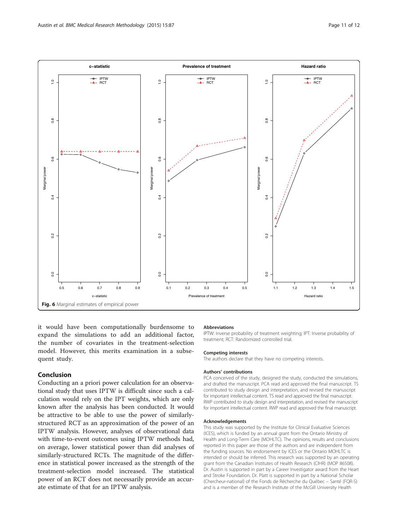<span id="page-10-0"></span>

it would have been computationally burdensome to expand the simulations to add an additional factor, the number of covariates in the treatment-selection model. However, this merits examination in a subsequent study.

# Conclusion

Conducting an a priori power calculation for an observational study that uses IPTW is difficult since such a calculation would rely on the IPT weights, which are only known after the analysis has been conducted. It would be attractive to be able to use the power of similarlystructured RCT as an approximation of the power of an IPTW analysis. However, analyses of observational data with time-to-event outcomes using IPTW methods had, on average, lower statistical power than did analyses of similarly-structured RCTs. The magnitude of the difference in statistical power increased as the strength of the treatment-selection model increased. The statistical power of an RCT does not necessarily provide an accurate estimate of that for an IPTW analysis.

#### Abbreviations

IPTW: Inverse probability of treatment weighting; IPT: Inverse probability of treatment; RCT: Randomized controlled trial.

#### Competing interests

The authors declare that they have no competing interests.

#### Authors' contributions

PCA conceived of the study, designed the study, conducted the simulations, and drafted the manuscript. PCA read and approved the final manuscript. TS contributed to study design and interpretation, and revised the manuscript for important intellectual content. TS read and approved the final manuscript. RWP contributed to study design and interpretation, and revised the manuscript for important intellectual content. RWP read and approved the final manuscript.

#### Acknowledgements

This study was supported by the Institute for Clinical Evaluative Sciences (ICES), which is funded by an annual grant from the Ontario Ministry of Health and Long-Term Care (MOHLTC). The opinions, results and conclusions reported in this paper are those of the authors and are independent from the funding sources. No endorsement by ICES or the Ontario MOHLTC is intended or should be inferred. This research was supported by an operating grant from the Canadian Institutes of Health Research (CIHR) (MOP 86508). Dr. Austin is supported in part by a Career Investigator award from the Heart and Stroke Foundation. Dr. Platt is supported in part by a National Scholar (Chercheur-national) of the Fonds de Récherche du Québec – Santé (FQR-S) and is a member of the Research Institute of the McGill University Health